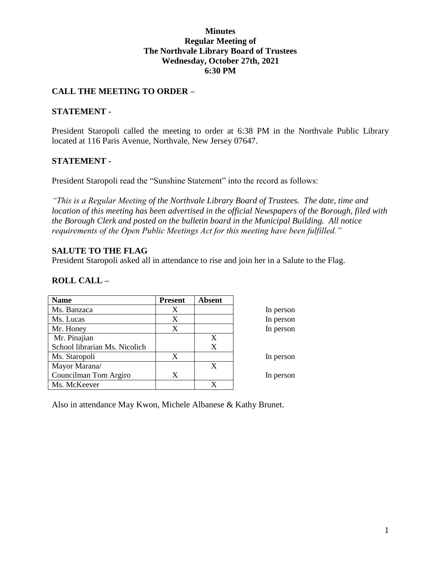## **Minutes Regular Meeting of The Northvale Library Board of Trustees Wednesday, October 27th, 2021 6:30 PM**

# **CALL THE MEETING TO ORDER –**

### **STATEMENT -**

President Staropoli called the meeting to order at 6:38 PM in the Northvale Public Library located at 116 Paris Avenue, Northvale, New Jersey 07647.

### **STATEMENT -**

President Staropoli read the "Sunshine Statement" into the record as follows:

*"This is a Regular Meeting of the Northvale Library Board of Trustees. The date, time and location of this meeting has been advertised in the official Newspapers of the Borough, filed with the Borough Clerk and posted on the bulletin board in the Municipal Building. All notice requirements of the Open Public Meetings Act for this meeting have been fulfilled."* 

### **SALUTE TO THE FLAG**

President Staropoli asked all in attendance to rise and join her in a Salute to the Flag.

# **ROLL CALL –**

| <b>Name</b>                   | <b>Present</b> | <b>Absent</b> |           |
|-------------------------------|----------------|---------------|-----------|
| Ms. Banzaca                   | X              |               | In person |
| Ms. Lucas                     | X              |               | In person |
| Mr. Honey                     | X              |               | In person |
| Mr. Pinajian                  |                | X             |           |
| School librarian Ms. Nicolich |                | X             |           |
| Ms. Staropoli                 | X              |               | In person |
| Mayor Marana/                 |                | X             |           |
| Councilman Tom Argiro         | X              |               | In person |
| Ms. McKeever                  |                |               |           |

Also in attendance May Kwon, Michele Albanese & Kathy Brunet.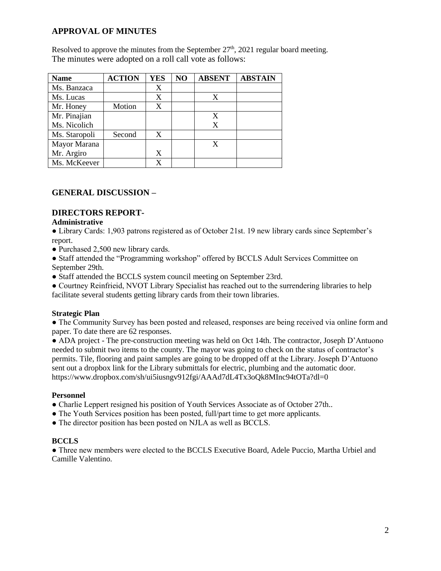# **APPROVAL OF MINUTES**

Resolved to approve the minutes from the September  $27<sup>th</sup>$ , 2021 regular board meeting. The minutes were adopted on a roll call vote as follows:

| <b>Name</b>   | <b>ACTION</b> | <b>YES</b> | NO | <b>ABSENT</b> | <b>ABSTAIN</b> |
|---------------|---------------|------------|----|---------------|----------------|
| Ms. Banzaca   |               | X          |    |               |                |
| Ms. Lucas     |               | X          |    | X             |                |
| Mr. Honey     | Motion        | X          |    |               |                |
| Mr. Pinajian  |               |            |    | X             |                |
| Ms. Nicolich  |               |            |    | X             |                |
| Ms. Staropoli | Second        | X          |    |               |                |
| Mayor Marana  |               |            |    | X             |                |
| Mr. Argiro    |               | X          |    |               |                |
| Ms. McKeever  |               |            |    |               |                |

# **GENERAL DISCUSSION –**

# **DIRECTORS REPORT-**

#### **Administrative**

● Library Cards: 1,903 patrons registered as of October 21st. 19 new library cards since September's report.

● Purchased 2,500 new library cards.

● Staff attended the "Programming workshop" offered by BCCLS Adult Services Committee on September 29th.

• Staff attended the BCCLS system council meeting on September 23rd.

● Courtney Reinfrieid, NVOT Library Specialist has reached out to the surrendering libraries to help facilitate several students getting library cards from their town libraries.

### **Strategic Plan**

• The Community Survey has been posted and released, responses are being received via online form and paper. To date there are 62 responses.

● ADA project - The pre-construction meeting was held on Oct 14th. The contractor, Joseph D'Antuono needed to submit two items to the county. The mayor was going to check on the status of contractor's permits. Tile, flooring and paint samples are going to be dropped off at the Library. Joseph D'Antuono sent out a dropbox link for the Library submittals for electric, plumbing and the automatic door. https://www.dropbox.com/sh/ui5iusngv912fgi/AAAd7dL4Tx3oQk8MInc94tOTa?dl=0

#### **Personnel**

- Charlie Leppert resigned his position of Youth Services Associate as of October 27th..
- The Youth Services position has been posted, full/part time to get more applicants.
- The director position has been posted on NJLA as well as BCCLS.

### **BCCLS**

● Three new members were elected to the BCCLS Executive Board, Adele Puccio, Martha Urbiel and Camille Valentino.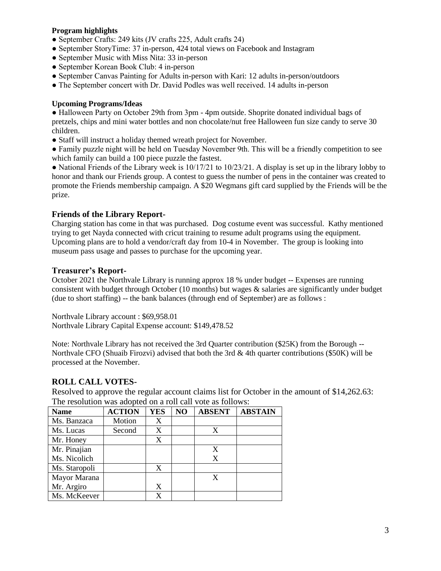#### **Program highlights**

- September Crafts: 249 kits (JV crafts 225, Adult crafts 24)
- September StoryTime: 37 in-person, 424 total views on Facebook and Instagram
- September Music with Miss Nita: 33 in-person
- September Korean Book Club: 4 in-person
- September Canvas Painting for Adults in-person with Kari: 12 adults in-person/outdoors
- The September concert with Dr. David Podles was well received. 14 adults in-person

#### **Upcoming Programs/Ideas**

● Halloween Party on October 29th from 3pm - 4pm outside. Shoprite donated individual bags of pretzels, chips and mini water bottles and non chocolate/nut free Halloween fun size candy to serve 30 children.

- Staff will instruct a holiday themed wreath project for November.
- Family puzzle night will be held on Tuesday November 9th. This will be a friendly competition to see which family can build a 100 piece puzzle the fastest.

• National Friends of the Library week is  $10/17/21$  to  $10/23/21$ . A display is set up in the library lobby to honor and thank our Friends group. A contest to guess the number of pens in the container was created to promote the Friends membership campaign. A \$20 Wegmans gift card supplied by the Friends will be the prize.

### **Friends of the Library Report-**

Charging station has come in that was purchased. Dog costume event was successful. Kathy mentioned trying to get Nayda connected with cricut training to resume adult programs using the equipment. Upcoming plans are to hold a vendor/craft day from 10-4 in November. The group is looking into museum pass usage and passes to purchase for the upcoming year.

### **Treasurer's Report-**

October 2021 the Northvale Library is running approx 18 % under budget -- Expenses are running consistent with budget through October (10 months) but wages & salaries are significantly under budget (due to short staffing) -- the bank balances (through end of September) are as follows :

Northvale Library account : \$69,958.01 Northvale Library Capital Expense account: \$149,478.52

Note: Northvale Library has not received the 3rd Quarter contribution (\$25K) from the Borough -- Northvale CFO (Shuaib Firozvi) advised that both the 3rd & 4th quarter contributions (\$50K) will be processed at the November.

# **ROLL CALL VOTES-**

Resolved to approve the regular account claims list for October in the amount of \$14,262.63: The resolution was adopted on a roll call vote as follows:

| <b>Name</b>   | <b>ACTION</b> | <b>YES</b> | NO | <b>ABSENT</b> | <b>ABSTAIN</b> |
|---------------|---------------|------------|----|---------------|----------------|
| Ms. Banzaca   | Motion        | X          |    |               |                |
| Ms. Lucas     | Second        | X          |    | X             |                |
| Mr. Honey     |               | X          |    |               |                |
| Mr. Pinajian  |               |            |    | X             |                |
| Ms. Nicolich  |               |            |    | X             |                |
| Ms. Staropoli |               | X          |    |               |                |
| Mayor Marana  |               |            |    | X             |                |
| Mr. Argiro    |               | X          |    |               |                |
| Ms. McKeever  |               | X          |    |               |                |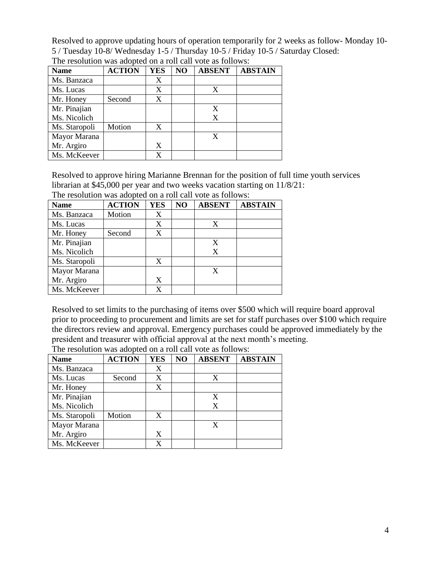Resolved to approve updating hours of operation temporarily for 2 weeks as follow- Monday 10- 5 / Tuesday 10-8/ Wednesday 1-5 / Thursday 10-5 / Friday 10-5 / Saturday Closed:

| <b>Name</b>   | <b>ACTION</b> | <b>YES</b> | NO | <b>ABSENT</b> | <b>ABSTAIN</b> |
|---------------|---------------|------------|----|---------------|----------------|
| Ms. Banzaca   |               | X          |    |               |                |
| Ms. Lucas     |               | X          |    | X             |                |
| Mr. Honey     | Second        | X          |    |               |                |
| Mr. Pinajian  |               |            |    |               |                |
| Ms. Nicolich  |               |            |    | X             |                |
| Ms. Staropoli | Motion        | X          |    |               |                |
| Mayor Marana  |               |            |    |               |                |
| Mr. Argiro    |               | X          |    |               |                |
| Ms. McKeever  |               | x          |    |               |                |

The resolution was adopted on a roll call vote as follows:

Resolved to approve hiring Marianne Brennan for the position of full time youth services librarian at \$45,000 per year and two weeks vacation starting on 11/8/21:

| <b>Name</b>   | <b>ACTION</b> | <b>YES</b> | NO | <b>ABSENT</b> | <b>ABSTAIN</b> |
|---------------|---------------|------------|----|---------------|----------------|
| Ms. Banzaca   | Motion        | X          |    |               |                |
| Ms. Lucas     |               | X          |    | X             |                |
| Mr. Honey     | Second        | X          |    |               |                |
| Mr. Pinajian  |               |            |    | X             |                |
| Ms. Nicolich  |               |            |    | X             |                |
| Ms. Staropoli |               | X          |    |               |                |
| Mayor Marana  |               |            |    | X             |                |
| Mr. Argiro    |               | X          |    |               |                |
| Ms. McKeever  |               | X          |    |               |                |

The resolution was adopted on a roll call vote as follows:

Resolved to set limits to the purchasing of items over \$500 which will require board approval prior to proceeding to procurement and limits are set for staff purchases over \$100 which require the directors review and approval. Emergency purchases could be approved immediately by the president and treasurer with official approval at the next month's meeting.

| <b>Name</b>   | <b>ACTION</b> | <b>YES</b> | N <sub>O</sub> | <b>ABSENT</b> | <b>ABSTAIN</b> |
|---------------|---------------|------------|----------------|---------------|----------------|
| Ms. Banzaca   |               | X          |                |               |                |
| Ms. Lucas     | Second        | X          |                | X             |                |
| Mr. Honey     |               | X          |                |               |                |
| Mr. Pinajian  |               |            |                | X             |                |
| Ms. Nicolich  |               |            |                | X             |                |
| Ms. Staropoli | Motion        | X          |                |               |                |
| Mayor Marana  |               |            |                | X             |                |
| Mr. Argiro    |               | X          |                |               |                |
| Ms. McKeever  |               | X          |                |               |                |

The resolution was adopted on a roll call vote as follows: